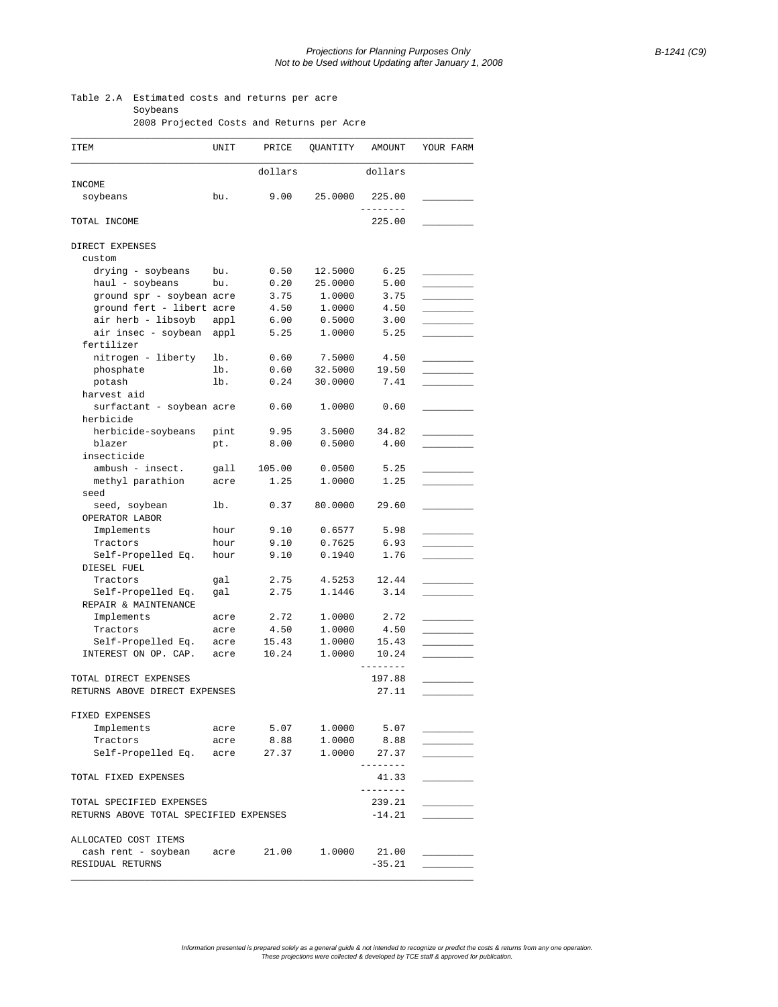## Table 2.A Estimated costs and returns per acre Soybeans

2008 Projected Costs and Returns per Acre

| ITEM                                        | UNIT | PRICE                 | QUANTITY | AMOUNT                 | YOUR FARM |
|---------------------------------------------|------|-----------------------|----------|------------------------|-----------|
|                                             |      | dollars               |          | dollars                |           |
| INCOME                                      |      |                       |          |                        |           |
| soybeans                                    | bu.  | 9.00                  | 25.0000  | 225.00<br>. <u>.</u> . |           |
| TOTAL INCOME                                |      |                       |          | 225.00                 |           |
| DIRECT EXPENSES                             |      |                       |          |                        |           |
| custom                                      |      |                       |          |                        |           |
| drying - soybeans                           | bu.  | 0.50                  | 12.5000  | 6.25                   |           |
| haul - soybeans                             | bu.  | 0.20                  | 25.0000  | 5.00                   |           |
| ground spr - soybean acre                   |      | 3.75                  | 1,0000   | 3.75                   |           |
| ground fert - libert acre                   |      | 4.50                  | 1,0000   | 4.50                   |           |
| air herb - libsoyb                          | appl | 6.00                  | 0.5000   | 3.00                   |           |
| air insec - soybean                         | appl | 5.25                  | 1,0000   | 5.25                   |           |
| fertilizer                                  |      |                       |          |                        |           |
| nitrogen - liberty                          | lb.  | 0.60                  | 7.5000   | 4.50                   |           |
| phosphate                                   | lb.  | 0.60                  | 32.5000  | 19.50                  |           |
| potash                                      | lb.  | 0.24                  | 30.0000  | 7.41                   |           |
| harvest aid                                 |      |                       |          |                        |           |
| surfactant - soybean acre                   |      | 0.60                  | 1,0000   | 0.60                   |           |
| herbicide                                   |      |                       |          |                        |           |
|                                             | pint |                       |          |                        |           |
| herbicide-soybeans                          |      | 9.95                  | 3.5000   | 34.82                  |           |
| blazer                                      | pt.  | 8.00                  | 0.5000   | 4.00                   |           |
| insecticide                                 |      |                       |          |                        |           |
| ambush - insect.                            | gall | 105.00                | 0.0500   | 5.25                   |           |
| methyl parathion<br>seed                    | acre | 1.25                  | 1,0000   | 1.25                   |           |
|                                             | lb.  | 0.37                  | 80.0000  | 29.60                  |           |
| seed, soybean                               |      |                       |          |                        |           |
| OPERATOR LABOR                              |      |                       |          |                        |           |
| Implements                                  | hour | 9.10                  | 0.6577   | 5.98                   |           |
| Tractors                                    | hour | 9.10                  | 0.7625   | 6.93                   |           |
| Self-Propelled Eq.<br>DIESEL FUEL           | hour | 9.10                  | 0.1940   | 1.76                   |           |
| Tractors                                    | gal  | 2.75                  | 4.5253   | 12.44                  |           |
| Self-Propelled Eq.                          | gal  | 2.75                  | 1.1446   | 3.14                   |           |
| REPAIR & MAINTENANCE                        |      |                       |          |                        |           |
| Implements                                  | acre | 2.72                  | 1,0000   | 2.72                   |           |
| Tractors                                    | acre | 4.50                  | 1.0000   | 4.50                   |           |
| Self-Propelled Eq.                          | acre | 15.43                 | 1.0000   | 15.43                  |           |
| INTEREST ON OP. CAP.                        | acre | 10.24                 | 1.0000   | 10.24                  |           |
|                                             |      |                       |          | $- - - - -$            |           |
| TOTAL DIRECT EXPENSES                       |      |                       |          | 197.88                 |           |
| RETURNS ABOVE DIRECT EXPENSES               |      |                       |          | 27.11                  |           |
|                                             |      |                       |          |                        |           |
| FIXED EXPENSES                              |      |                       |          |                        |           |
| Implements                                  |      | acre 5.07 1.0000 5.07 |          |                        |           |
| Tractors                                    | acre | 8.88                  | 1.0000   | 8.88                   |           |
| Self-Propelled Eq. acre 27.37 1.0000        |      |                       |          | 27.37                  |           |
|                                             |      |                       |          | ---------              |           |
| TOTAL FIXED EXPENSES                        |      |                       |          | 41.33<br>---------     |           |
| TOTAL SPECIFIED EXPENSES                    |      |                       |          | 239.21                 |           |
| RETURNS ABOVE TOTAL SPECIFIED EXPENSES      |      |                       |          | $-14.21$               |           |
|                                             |      |                       |          |                        |           |
| ALLOCATED COST ITEMS                        |      |                       |          |                        |           |
| cash rent - soybean acre 21.00 1.0000 21.00 |      |                       |          |                        |           |
| RESIDUAL RETURNS                            |      |                       |          | $-35.21$               |           |
|                                             |      |                       |          |                        |           |

Information presented is prepared solely as a general guide & not intended to recognize or predict the costs & returns from any one operation.<br>These projections were collected & developed by TCE staff & approved for public